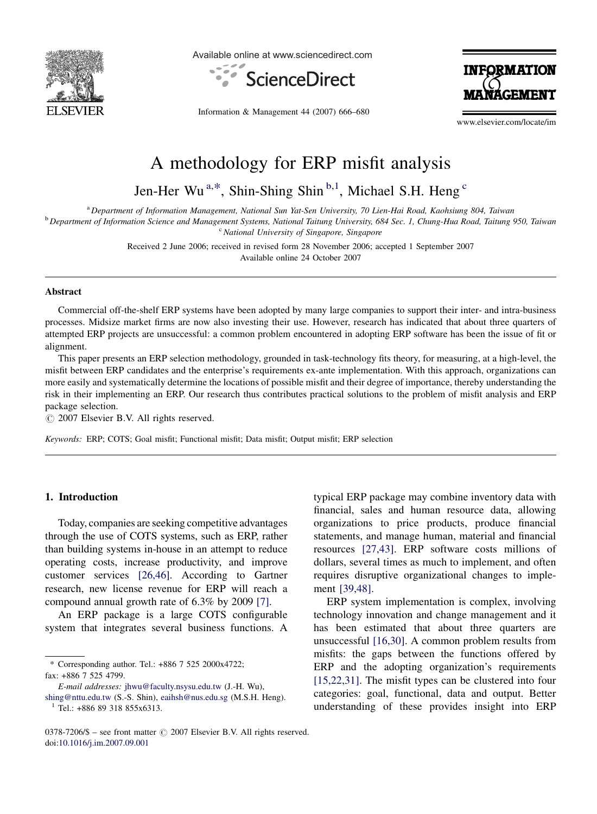

Available online at www.sciencedirect.com



Information & Management 44 (2007) 666–680

**INFORMATION** 

www.elsevier.com/locate/im

# A methodology for ERP misfit analysis

Jen-Her Wu<sup>a,\*</sup>, Shin-Shing Shin<sup>b,1</sup>, Michael S.H. Heng<sup>c</sup>

<sup>a</sup> Department of Information Management, National Sun Yat-Sen University, 70 Lien-Hai Road, Kaohsiung 804, Taiwan

<sup>b</sup> Department of Information Science and Management Systems, National Taitung University, 684 Sec. 1, Chung-Hua Road, Taitung 950, Taiwan  $c$  National University of Singapore, Singapore

> Received 2 June 2006; received in revised form 28 November 2006; accepted 1 September 2007 Available online 24 October 2007

#### Abstract

Commercial off-the-shelf ERP systems have been adopted by many large companies to support their inter- and intra-business processes. Midsize market firms are now also investing their use. However, research has indicated that about three quarters of attempted ERP projects are unsuccessful: a common problem encountered in adopting ERP software has been the issue of fit or alignment.

This paper presents an ERP selection methodology, grounded in task-technology fits theory, for measuring, at a high-level, the misfit between ERP candidates and the enterprise's requirements ex-ante implementation. With this approach, organizations can more easily and systematically determine the locations of possible misfit and their degree of importance, thereby understanding the risk in their implementing an ERP. Our research thus contributes practical solutions to the problem of misfit analysis and ERP package selection.

 $\odot$  2007 Elsevier B.V. All rights reserved.

Keywords: ERP; COTS; Goal misfit; Functional misfit; Data misfit; Output misfit; ERP selection

### 1. Introduction

Today, companies are seeking competitive advantages through the use of COTS systems, such as ERP, rather than building systems in-house in an attempt to reduce operating costs, increase productivity, and improve customer services [\[26,46\].](#page--1-0) According to Gartner research, new license revenue for ERP will reach a compound annual growth rate of 6.3% by 2009 [\[7\]](#page--1-0).

An ERP package is a large COTS configurable system that integrates several business functions. A

typical ERP package may combine inventory data with financial, sales and human resource data, allowing organizations to price products, produce financial statements, and manage human, material and financial resources [\[27,43\]](#page--1-0). ERP software costs millions of dollars, several times as much to implement, and often requires disruptive organizational changes to implement [\[39,48\].](#page--1-0)

ERP system implementation is complex, involving technology innovation and change management and it has been estimated that about three quarters are unsuccessful [\[16,30\]](#page--1-0). A common problem results from misfits: the gaps between the functions offered by ERP and the adopting organization's requirements [\[15,22,31\].](#page--1-0) The misfit types can be clustered into four categories: goal, functional, data and output. Better understanding of these provides insight into ERP

<sup>\*</sup> Corresponding author. Tel.: +886 7 525 2000x4722; fax: +886 7 525 4799.

E-mail addresses: [jhwu@faculty.nsysu.edu.tw](mailto:jhwu@faculty.nsysu.edu.tw) (J.-H. Wu),

[shing@nttu.edu.tw](mailto:shing@nttu.edu.tw) (S.-S. Shin), [eaihsh@nus.edu.sg](mailto:eaihsh@nus.edu.sg) (M.S.H. Heng).  $1$  Tel.: +886 89 318 855x6313.

 $0378-7206/\$$  – see front matter  $\odot$  2007 Elsevier B.V. All rights reserved. doi:[10.1016/j.im.2007.09.001](http://dx.doi.org/10.1016/j.im.2007.09.001)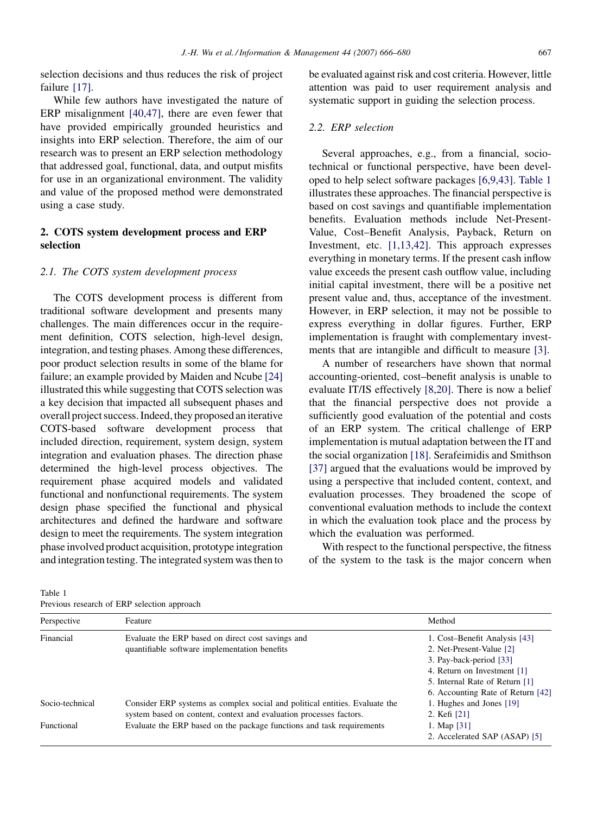selection decisions and thus reduces the risk of project failure [\[17\].](#page--1-0)

While few authors have investigated the nature of ERP misalignment [\[40,47\],](#page--1-0) there are even fewer that have provided empirically grounded heuristics and insights into ERP selection. Therefore, the aim of our research was to present an ERP selection methodology that addressed goal, functional, data, and output misfits for use in an organizational environment. The validity and value of the proposed method were demonstrated using a case study.

## 2. COTS system development process and ERP selection

## 2.1. The COTS system development process

The COTS development process is different from traditional software development and presents many challenges. The main differences occur in the requirement definition, COTS selection, high-level design, integration, and testing phases. Among these differences, poor product selection results in some of the blame for failure; an example provided by Maiden and Ncube [\[24\]](#page--1-0) illustrated this while suggesting that COTS selection was a key decision that impacted all subsequent phases and overall project success. Indeed, they proposed an iterative COTS-based software development process that included direction, requirement, system design, system integration and evaluation phases. The direction phase determined the high-level process objectives. The requirement phase acquired models and validated functional and nonfunctional requirements. The system design phase specified the functional and physical architectures and defined the hardware and software design to meet the requirements. The system integration phase involved product acquisition, prototype integration and integration testing. The integrated system was then to be evaluated against risk and cost criteria. However, little attention was paid to user requirement analysis and systematic support in guiding the selection process.

### 2.2. ERP selection

Several approaches, e.g., from a financial, sociotechnical or functional perspective, have been developed to help select software packages [\[6,9,43\]](#page--1-0). Table 1 illustrates these approaches. The financial perspective is based on cost savings and quantifiable implementation benefits. Evaluation methods include Net-Present-Value, Cost–Benefit Analysis, Payback, Return on Investment, etc. [\[1,13,42\].](#page--1-0) This approach expresses everything in monetary terms. If the present cash inflow value exceeds the present cash outflow value, including initial capital investment, there will be a positive net present value and, thus, acceptance of the investment. However, in ERP selection, it may not be possible to express everything in dollar figures. Further, ERP implementation is fraught with complementary investments that are intangible and difficult to measure [\[3\].](#page--1-0)

A number of researchers have shown that normal accounting-oriented, cost–benefit analysis is unable to evaluate IT/IS effectively [\[8,20\]](#page--1-0). There is now a belief that the financial perspective does not provide a sufficiently good evaluation of the potential and costs of an ERP system. The critical challenge of ERP implementation is mutual adaptation between the IT and the social organization [\[18\]](#page--1-0). Serafeimidis and Smithson [\[37\]](#page--1-0) argued that the evaluations would be improved by using a perspective that included content, context, and evaluation processes. They broadened the scope of conventional evaluation methods to include the context in which the evaluation took place and the process by which the evaluation was performed.

With respect to the functional perspective, the fitness of the system to the task is the major concern when

Table 1 Previous research of ERP selection approach

| Trevious research of ERT selection approach |                                                                                                                                                   |                                   |
|---------------------------------------------|---------------------------------------------------------------------------------------------------------------------------------------------------|-----------------------------------|
| Perspective                                 | Feature                                                                                                                                           | Method                            |
| Financial                                   | Evaluate the ERP based on direct cost savings and<br>quantifiable software implementation benefits                                                | 1. Cost-Benefit Analysis [43]     |
|                                             |                                                                                                                                                   | 2. Net-Present-Value [2]          |
|                                             |                                                                                                                                                   | 3. Pay-back-period [33]           |
|                                             |                                                                                                                                                   | 4. Return on Investment [1]       |
|                                             |                                                                                                                                                   | 5. Internal Rate of Return [1]    |
|                                             |                                                                                                                                                   | 6. Accounting Rate of Return [42] |
| Socio-technical                             | Consider ERP systems as complex social and political entities. Evaluate the<br>system based on content, context and evaluation processes factors. | 1. Hughes and Jones [19]          |
|                                             |                                                                                                                                                   | 2. Kefi [21]                      |
| Functional                                  | Evaluate the ERP based on the package functions and task requirements                                                                             | 1. Map $[31]$                     |
|                                             |                                                                                                                                                   | 2. Accelerated SAP (ASAP) [5]     |
|                                             |                                                                                                                                                   |                                   |